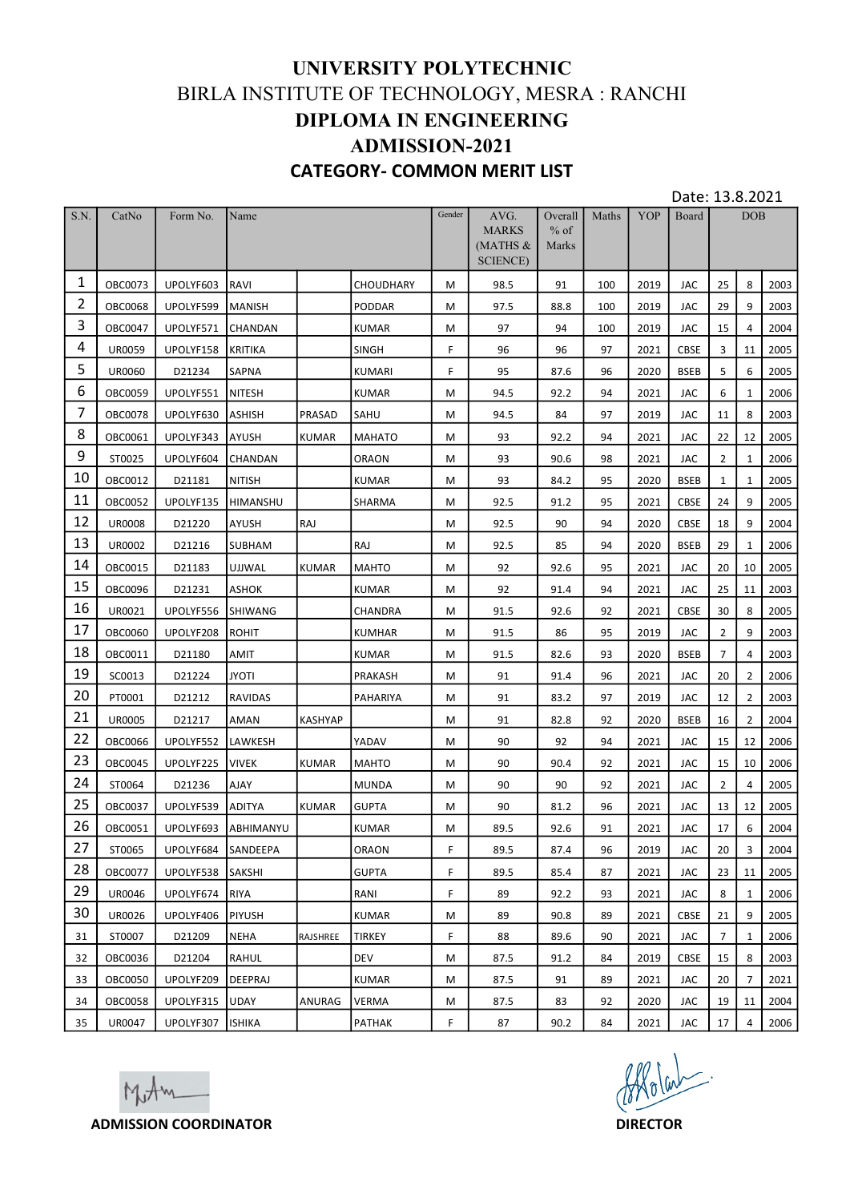|                |                           |                              |                              |              | UNIVERSITY POLYTECHNIC<br>BIRLA INSTITUTE OF TECHNOLOGY, MESRA : RANCHI<br><b>DIPLOMA IN ENGINEERING</b><br><b>ADMISSION-2021</b> |        |                                   |                            |            |                  |                 |                      |                         |              |
|----------------|---------------------------|------------------------------|------------------------------|--------------|-----------------------------------------------------------------------------------------------------------------------------------|--------|-----------------------------------|----------------------------|------------|------------------|-----------------|----------------------|-------------------------|--------------|
|                |                           |                              |                              |              | <b>CATEGORY- COMMON MERIT LIST</b>                                                                                                |        |                                   |                            |            |                  | Date: 13.8.2021 |                      |                         |              |
| S.N.           | CatNo                     | Form No.                     | Name                         |              |                                                                                                                                   | Gender | AVG.<br><b>MARKS</b><br>$MATHS$ & | Overall<br>$%$ of<br>Marks | Maths      | <b>YOP</b>       | Board           |                      | <b>DOB</b>              |              |
| $\mathbf{1}$   |                           |                              |                              |              |                                                                                                                                   |        | <b>SCIENCE</b> )                  |                            |            |                  |                 |                      |                         |              |
| $\overline{2}$ | OBC0073<br><b>OBC0068</b> | UPOLYF603<br>UPOLYF599       | RAVI<br>MANISH               |              | <b>CHOUDHARY</b><br>PODDAR                                                                                                        | M<br>M | 98.5<br>97.5                      | 91<br>88.8                 | 100<br>100 | 2019<br>2019     | JAC<br>JAC      | 25<br>29             | 8<br>9                  | 2003<br>2003 |
| 3              | OBC0047                   | UPOLYF571                    | CHANDAN                      |              | <b>KUMAR</b>                                                                                                                      | M      | 97                                | 94                         | 100        | 2019             | JAC             | 15                   | $\overline{4}$          | 2004         |
| 4              | <b>UR0059</b>             | UPOLYF158 KRITIKA            |                              |              | <b>SINGH</b>                                                                                                                      | F      | 96                                | 96                         | 97         | 2021             | CBSE            | 3                    | 11                      | 2005         |
| 5              | <b>UR0060</b>             | D21234                       | <b>SAPNA</b>                 |              | <b>KUMARI</b>                                                                                                                     | F.     | 95                                | 87.6                       | 96         | 2020             | <b>BSEB</b>     | 5                    | 6                       | 2005         |
| 6              | <b>OBC0059</b>            | UPOLYF551                    | <b>NITESH</b>                |              | <b>KUMAR</b>                                                                                                                      | M      | 94.5                              | 92.2                       | 94         | 2021             | <b>JAC</b>      | 6                    | $\mathbf{1}$            | 2006         |
| $\overline{7}$ | <b>OBC0078</b>            | UPOLYF630                    | ASHISH                       | PRASAD       | SAHU                                                                                                                              | M      | 94.5                              | 84                         | 97         | 2019             | JAC             | 11                   | 8                       | 2003         |
| 8              | OBC0061                   | UPOLYF343                    | <b>AYUSH</b>                 | <b>KUMAR</b> | MAHATO                                                                                                                            | M      | 93                                | 92.2                       | 94         | 2021             | JAC             | 22                   | 12                      | 2005         |
| 9<br>10        | ST0025                    | UPOLYF604                    | <b>CHANDAN</b>               |              | ORAON                                                                                                                             | M      | 93                                | 90.6                       | 98         | 2021             | JAC             | $\overline{2}$       | $\mathbf{1}$            | 2006         |
| 11             | OBC0012<br>OBC0052        | D21181<br>UPOLYF135          | <b>NITISH</b>                |              | KUMAR                                                                                                                             | M      | 93                                | 84.2                       | 95         | 2020             | <b>BSEB</b>     | 1                    | 1<br>9                  | 2005         |
| 12             | <b>UR0008</b>             | D21220                       | <b>HIMANSHU</b><br>AYUSH     | RAJ          | SHARMA                                                                                                                            | M<br>M | 92.5<br>92.5                      | 91.2<br>90                 | 95<br>94   | 2021<br>2020     | CBSE<br>CBSE    | 24<br>18             | 9                       | 2005<br>2004 |
| 13             | UR0002                    | D21216                       | <b>SUBHAM</b>                |              | RAJ                                                                                                                               | M      | 92.5                              | 85                         | 94         | 2020             | <b>BSEB</b>     | 29                   | 1                       | 2006         |
| 14             | OBC0015                   | D21183                       | <b>UJJWAL</b>                | KUMAR        | MAHTO                                                                                                                             | M      | 92                                | 92.6                       | 95         | 2021             | JAC             | 20                   | 10                      | 2005         |
| 15             | <b>OBC0096</b>            | D21231                       | ASHOK                        |              | KUMAR                                                                                                                             | M      | 92                                | 91.4                       | 94         | 2021             | JAC             | 25                   | 11                      | 2003         |
| 16             | UR0021                    | UPOLYF556                    | <b>SHIWANG</b>               |              | CHANDRA                                                                                                                           | M      | 91.5                              | 92.6                       | 92         | 2021             | CBSE            | 30                   | 8                       | 2005         |
| 17             | <b>OBC0060</b>            | UPOLYF208                    | <b>ROHIT</b>                 |              | <b>KUMHAR</b>                                                                                                                     | M      | 91.5                              | 86                         | 95         | 2019             | JAC             | $\overline{2}$       | 9                       | 2003         |
| 18             | OBC0011                   | D21180                       | AMIT                         |              | KUMAR                                                                                                                             | M      | 91.5                              | 82.6                       | 93         | 2020             | BSEB            | $\overline{7}$       | 4                       | 2003         |
| 19             | SC0013                    | D21224                       | <b>JYOTI</b>                 |              | PRAKASH                                                                                                                           | M      | 91                                | 91.4                       | 96         | 2021             | JAC             | 20                   | $\overline{2}$          | 2006         |
| 20             | PT0001                    | D21212                       | <b>RAVIDAS</b>               |              | PAHARIYA                                                                                                                          | M      | 91                                | 83.2                       | 97         | 2019             | JAC             | 12                   | $\overline{2}$          | 2003         |
| 21             | <b>UR0005</b>             | D21217                       | AMAN                         | KASHYAP      |                                                                                                                                   | M      | 91                                | 82.8                       | 92         | 2020             | BSEB            | 16                   | $\overline{2}$          | 2004         |
| 22<br>23       | <b>OBC0066</b>            | UPOLYF552                    | <b>LAWKESH</b>               |              | YADAV                                                                                                                             | M      | 90                                | 92                         | 94         | 2021             | JAC             | 15                   | 12                      | 2006         |
| 24             | <b>OBC0045</b>            | UPOLYF225                    | <b>VIVEK</b>                 | KUMAR        | MAHTO                                                                                                                             | M      | 90                                | 90.4                       | 92         | 2021             | JAC             | 15                   | 10                      | 2006         |
| 25             | ST0064<br>OBC0037         | D21236<br>UPOLYF539          | <b>AJAY</b><br><b>ADITYA</b> | KUMAR        | <b>MUNDA</b><br><b>GUPTA</b>                                                                                                      | M<br>M | 90<br>90                          | 90<br>81.2                 | 92<br>96   | 2021<br>2021     | JAC<br>JAC      | $\overline{2}$<br>13 | $\overline{4}$<br>12    | 2005<br>2005 |
| 26             | OBC0051                   | UPOLYF693                    | ABHIMANYU                    |              | <b>KUMAR</b>                                                                                                                      | M      | 89.5                              | 92.6                       | 91         | 2021             | JAC             | 17                   | 6                       | 2004         |
| 27             | ST0065                    | UPOLYF684 SANDEEPA           |                              |              | ORAON                                                                                                                             | F      | 89.5                              | 87.4                       | 96         | 2019             | JAC             | 20                   | $\overline{\mathbf{3}}$ | 2004         |
| 28             | OBC0077                   | UPOLYF538 SAKSHI             |                              |              | <b>GUPTA</b>                                                                                                                      | F.     | 89.5                              | 85.4                       | 87         | 2021             | JAC             | 23                   | 11                      | 2005         |
| 29             | UR0046                    | UPOLYF674 RIYA               |                              |              | RANI                                                                                                                              | F.     | 89                                | 92.2                       | 93         | 2021             | JAC             | 8                    | 1                       | 2006         |
| 30             | UR0026                    | UPOLYF406                    | PIYUSH                       |              | <b>KUMAR</b>                                                                                                                      | M      | 89                                | 90.8                       | 89         | 2021             | CBSE            | 21                   | 9                       | 2005         |
| 31             | ST0007                    | D21209                       | NEHA                         | RAJSHREE     | TIRKEY                                                                                                                            | F      | 88                                | 89.6                       | 90         | 2021             | JAC             | $\overline{7}$       | 1                       | 2006         |
| 32             | OBC0036                   | D21204                       | RAHUL                        |              | <b>DEV</b>                                                                                                                        | M      | 87.5                              | 91.2                       | 84         | 2019             | CBSE            | 15                   | 8                       | 2003         |
| 33             | <b>OBC0050</b>            | UPOLYF209                    | DEEPRAJ                      |              | <b>KUMAR</b>                                                                                                                      | M      | 87.5                              | 91                         | 89         | 2021             | JAC             | 20                   | $\overline{7}$          | 2021         |
| 34             | <b>OBC0058</b>            | UPOLYF315                    | UDAY                         | ANURAG       | <b>VERMA</b>                                                                                                                      | M      | 87.5                              | 83                         | 92         | 2020             | JAC             | 19                   | 11                      | 2004         |
| 35             | UR0047                    | UPOLYF307  ISHIKA<br>Mitm    |                              |              | <b>PATHAK</b>                                                                                                                     | F.     | 87                                | 90.2                       | 84         | 2021<br>Allolat. | JAC             | 17                   | $\overline{4}$          | 2006         |
|                |                           | <b>ADMISSION COORDINATOR</b> |                              |              |                                                                                                                                   |        |                                   |                            |            | <b>DIRECTOR</b>  |                 |                      |                         |              |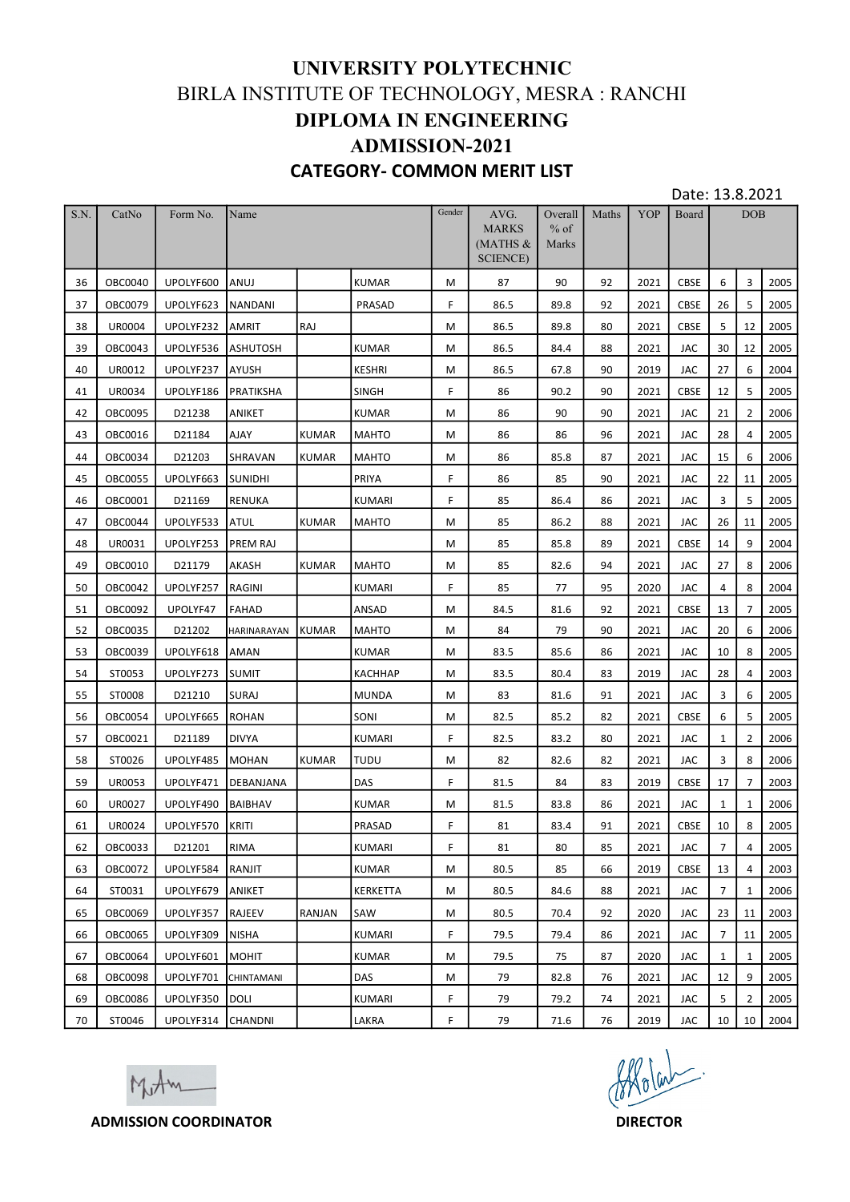|          |                                  |                                        |                       |              | UNIVERSITY POLYTECHNIC<br>BIRLA INSTITUTE OF TECHNOLOGY, MESRA : RANCHI<br><b>DIPLOMA IN ENGINEERING</b><br><b>ADMISSION-2021</b> |        |                                                        |                            |          |                 |                    |                       |                     |              |
|----------|----------------------------------|----------------------------------------|-----------------------|--------------|-----------------------------------------------------------------------------------------------------------------------------------|--------|--------------------------------------------------------|----------------------------|----------|-----------------|--------------------|-----------------------|---------------------|--------------|
|          |                                  |                                        |                       |              | <b>CATEGORY- COMMON MERIT LIST</b>                                                                                                |        |                                                        |                            |          |                 | Date: 13.8.2021    |                       |                     |              |
| S.N.     | CatNo                            | Form No.                               | Name                  |              |                                                                                                                                   | Gender | AVG.<br><b>MARKS</b><br>(MATHS $&$<br><b>SCIENCE</b> ) | Overall<br>$%$ of<br>Marks | Maths    | <b>YOP</b>      | Board              |                       | <b>DOB</b>          |              |
| 36       | <b>OBC0040</b>                   | UPOLYF600                              | ANUJ                  |              | KUMAR                                                                                                                             | M      | 87                                                     | 90                         | 92       | 2021            | <b>CBSE</b>        | 6                     | $\overline{3}$      | 2005         |
| 37       | OBC0079                          | UPOLYF623                              | NANDANI               |              | PRASAD                                                                                                                            | F      | 86.5                                                   | 89.8                       | 92       | 2021            | CBSE               | 26                    | 5                   | 2005         |
| 38       | <b>UR0004</b>                    | UPOLYF232                              | AMRIT                 | RAJ          |                                                                                                                                   | M      | 86.5                                                   | 89.8                       | 80       | 2021            | CBSE               | 5 <sub>1</sub>        | 12                  | 2005         |
| 39<br>40 | OBC0043<br>UR0012                | UPOLYF536 ASHUTOSH<br>UPOLYF237        | AYUSH                 |              | <b>KUMAR</b><br>KESHRI                                                                                                            | M<br>M | 86.5<br>86.5                                           | 84.4<br>67.8               | 88<br>90 | 2021<br>2019    | JAC<br>JAC         | 30 <sub>o</sub><br>27 | 12<br>6             | 2005<br>2004 |
| 41       | <b>UR0034</b>                    | UPOLYF186                              | PRATIKSHA             |              | <b>SINGH</b>                                                                                                                      | F      | 86                                                     | 90.2                       | 90       | 2021            | CBSE               | 12                    | 5                   | 2005         |
| 42       | <b>OBC0095</b>                   | D21238                                 | <b>ANIKET</b>         |              | KUMAR                                                                                                                             | M      | 86                                                     | 90                         | 90       | 2021            | JAC                | 21                    | $\overline{2}$      | 2006         |
| 43       | OBC0016                          | D21184                                 | <b>AJAY</b>           | <b>KUMAR</b> | MAHTO                                                                                                                             | M      | 86                                                     | 86                         | 96       | 2021            | JAC                | 28                    | 4                   | 2005         |
| 44       | OBC0034                          | D21203                                 | <b>SHRAVAN</b>        | <b>KUMAR</b> | <b>MAHTO</b>                                                                                                                      | M      | 86                                                     | 85.8                       | 87       | 2021            | JAC                | 15                    | 6                   | 2006         |
| 45       | OBC0055                          | UPOLYF663 SUNIDHI                      |                       |              | PRIYA                                                                                                                             | F      | 86                                                     | 85                         | 90       | 2021            | JAC                | 22                    | 11                  | 2005         |
| 46       | OBC0001                          | D21169                                 | RENUKA                |              | <b>KUMARI</b>                                                                                                                     | F      | 85                                                     | 86.4                       | 86       | 2021            | JAC                | 3                     | 5                   | 2005         |
| 47<br>48 | OBC0044<br>UR0031                | UPOLYF533<br>UPOLYF253 PREM RAJ        | ATUL                  | KUMAR        | <b>MAHTO</b>                                                                                                                      | M<br>M | 85<br>85                                               | 86.2<br>85.8               | 88<br>89 | 2021<br>2021    | JAC<br><b>CBSE</b> | 26<br>14              | 11<br>9             | 2005<br>2004 |
| 49       | OBC0010                          | D21179                                 | AKASH                 | KUMAR        | <b>MAHTO</b>                                                                                                                      | M      | 85                                                     | 82.6                       | 94       | 2021            | JAC                | 27                    | 8                   | 2006         |
| 50       | OBC0042                          | UPOLYF257                              | RAGINI                |              | <b>KUMARI</b>                                                                                                                     | F      | 85                                                     | 77                         | 95       | 2020            | JAC                | 4                     | 8                   | 2004         |
| 51       | OBC0092                          | UPOLYF47                               | FAHAD                 |              | ANSAD                                                                                                                             | M      | 84.5                                                   | 81.6                       | 92       | 2021            | CBSE               | 13                    | $\overline{7}$      | 2005         |
| 52       | OBC0035                          | D21202                                 | HARINARAYAN KUMAR     |              | MAHTO                                                                                                                             | M      | 84                                                     | 79                         | 90       | 2021            | JAC                | 20                    | 6                   | 2006         |
| 53       | OBC0039                          | UPOLYF618                              | <b>AMAN</b>           |              | KUMAR                                                                                                                             | M      | 83.5                                                   | 85.6                       | 86       | 2021            | JAC                | 10                    | 8                   | 2005         |
| 54       | ST0053                           | UPOLYF273                              | <b>SUMIT</b>          |              | KACHHAP                                                                                                                           | M      | 83.5                                                   | 80.4                       | 83       | 2019            | JAC                | 28                    | 4                   | 2003         |
| 55       | ST0008                           | D21210                                 | <b>SURAJ</b>          |              | MUNDA                                                                                                                             | M      | 83                                                     | 81.6                       | 91       | 2021            | JAC                | 3                     | 6                   | 2005         |
| 56<br>57 | <b>OBC0054</b><br>OBC0021        | UPOLYF665<br>D21189                    | ROHAN<br>DIVYA        |              | SONI<br>KUMARI                                                                                                                    | M<br>F | 82.5<br>82.5                                           | 85.2<br>83.2               | 82<br>80 | 2021<br>2021    | CBSE<br>JAC        | 6<br>$\mathbf{1}$     | 5<br>$\overline{2}$ | 2005<br>2006 |
| 58       | ST0026                           | UPOLYF485                              | <b>MOHAN</b>          | KUMAR        | TUDU                                                                                                                              | M      | 82                                                     | 82.6                       | 82       | 2021            | JAC                | $\mathbf{3}$          | 8                   | 2006         |
| 59       | <b>UR0053</b>                    |                                        | UPOLYF471   DEBANJANA |              | DAS                                                                                                                               | F      | 81.5                                                   | 84                         | 83       | 2019            | <b>CBSE</b>        | 17                    | $\overline{7}$      | 2003         |
| 60       | UR0027                           | UPOLYF490 BAIBHAV                      |                       |              | <b>KUMAR</b>                                                                                                                      | M      | 81.5                                                   | 83.8                       | 86       | 2021            | JAC                | $\mathbf{1}$          | 1                   | 2006         |
| 61       | <b>UR0024</b>                    | UPOLYF570 KRITI                        |                       |              | PRASAD                                                                                                                            | F      | 81                                                     | 83.4                       | 91       | 2021            | CBSE               | 10                    | 8                   | 2005         |
| 62       | OBC0033                          | D21201                                 | RIMA                  |              | <b>KUMARI</b>                                                                                                                     | F      | 81                                                     | 80                         | 85       | 2021            | JAC                | $7\overline{ }$       | 4                   | 2005         |
| 63       | OBC0072                          | UPOLYF584                              | RANJIT                |              | KUMAR                                                                                                                             | M      | 80.5                                                   | 85                         | 66       | 2019            | CBSE               | 13                    | 4                   | 2003         |
| 64       | ST0031                           | UPOLYF679<br>UPOLYF357  RAJEEV         | <b>ANIKET</b>         | RANJAN       | KERKETTA<br>SAW                                                                                                                   | M      | 80.5                                                   | 84.6                       | 88<br>92 | 2021            | JAC                | 7 <sup>7</sup>        | 1                   | 2006         |
| 65<br>66 | <b>OBC0069</b><br><b>OBC0065</b> | UPOLYF309   NISHA                      |                       |              | <b>KUMARI</b>                                                                                                                     | M<br>F | 80.5<br>79.5                                           | 70.4<br>79.4               | 86       | 2020<br>2021    | JAC<br>JAC         | 23<br>7 <sup>7</sup>  | 11<br>11            | 2003<br>2005 |
| 67       | <b>OBC0064</b>                   | UPOLYF601                              | MOHIT                 |              | <b>KUMAR</b>                                                                                                                      | M      | 79.5                                                   | 75                         | 87       | 2020            | JAC                | 1                     | 1                   | 2005         |
| 68       | <b>OBC0098</b>                   | UPOLYF701                              | <b>CHINTAMANI</b>     |              | DAS                                                                                                                               | M      | 79                                                     | 82.8                       | 76       | 2021            | JAC                | 12                    | 9                   | 2005         |
| 69       | <b>OBC0086</b>                   | UPOLYF350  DOLI                        |                       |              | <b>KUMARI</b>                                                                                                                     | F      | 79                                                     | 79.2                       | 74       | 2021            | JAC                | 5                     | $\overline{2}$      | 2005         |
| 70       | ST0046                           | UPOLYF314 CHANDNI                      |                       |              | LAKRA                                                                                                                             | F.     | 79                                                     | 71.6                       | 76       | 2019            | JAC                | 10 <sup>1</sup>       | 10                  | 2004         |
|          |                                  | Mother<br><b>ADMISSION COORDINATOR</b> |                       |              |                                                                                                                                   |        |                                                        |                            |          | <b>DIRECTOR</b> | Affolcut.          |                       |                     |              |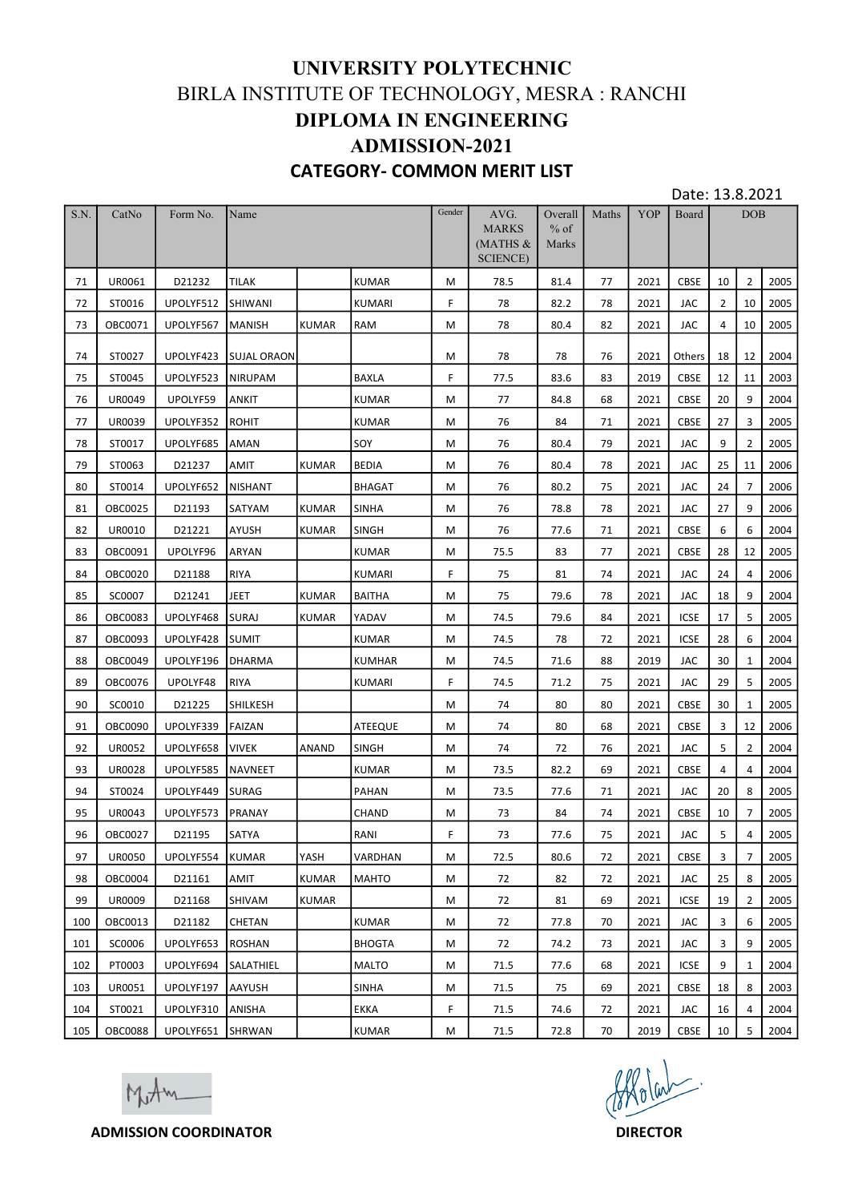|            |                          |                                         |                            |                | UNIVERSITY POLYTECHNIC<br>BIRLA INSTITUTE OF TECHNOLOGY, MESRA : RANCHI<br><b>DIPLOMA IN ENGINEERING</b> |        |                                   |                            |          |                 |                     |                 |                                  |              |
|------------|--------------------------|-----------------------------------------|----------------------------|----------------|----------------------------------------------------------------------------------------------------------|--------|-----------------------------------|----------------------------|----------|-----------------|---------------------|-----------------|----------------------------------|--------------|
|            |                          |                                         |                            |                | <b>ADMISSION-2021</b><br><b>CATEGORY- COMMON MERIT LIST</b>                                              |        |                                   |                            |          |                 | Date: 13.8.2021     |                 |                                  |              |
| S.N.       | CatNo                    | Form No.                                | Name                       |                |                                                                                                          | Gender | AVG.<br><b>MARKS</b><br>$MATHS$ & | Overall<br>$%$ of<br>Marks | Maths    | <b>YOP</b>      | Board               |                 | <b>DOB</b>                       |              |
| 71         | UR0061                   | D21232                                  | <b>TILAK</b>               |                | <b>KUMAR</b>                                                                                             | M      | <b>SCIENCE</b> )<br>78.5          | 81.4                       | 77       | 2021            | CBSE                | 10              | $\overline{2}$                   | 2005         |
| 72         | ST0016                   | UPOLYF512 SHIWANI                       |                            |                | <b>KUMARI</b>                                                                                            | F.     | 78                                | 82.2                       | 78       | 2021            | JAC                 | $\overline{2}$  | 10                               | 2005         |
| 73         | OBC0071                  | UPOLYF567                               | MANISH                     | KUMAR          | <b>RAM</b>                                                                                               | M      | 78                                | 80.4                       | 82       | 2021            | JAC                 | 4               | 10                               | 2005         |
| 74         | ST0027                   |                                         | UPOLYF423 SUJAL ORAON      |                |                                                                                                          | M      | 78                                | 78                         | 76       | 2021            | Others              | 18              | 12                               | 2004         |
| 75         | ST0045                   | UPOLYF523 NIRUPAM                       |                            |                | <b>BAXLA</b>                                                                                             | F.     | 77.5                              | 83.6                       | 83       | 2019            | CBSE                | 12 <sup>1</sup> | 11                               | 2003         |
| 76         | UR0049                   | UPOLYF59                                | ANKIT                      |                | <b>KUMAR</b>                                                                                             | M      | 77                                | 84.8                       | 68       | 2021            | CBSE                | 20              | 9                                | 2004         |
| 77<br>78   | UR0039                   | UPOLYF352                               | ROHIT                      |                | <b>KUMAR</b><br>SOY                                                                                      | M      | 76<br>76                          | 84                         | 71       | 2021            | CBSE                | 27<br>9         | $\overline{3}$<br>$\overline{2}$ | 2005<br>2005 |
| 79         | ST0017<br>ST0063         | UPOLYF685<br>D21237                     | <b>AMAN</b><br><b>AMIT</b> | KUMAR          | <b>BEDIA</b>                                                                                             | M<br>M | 76                                | 80.4<br>80.4               | 79<br>78 | 2021<br>2021    | JAC<br>JAC          | 25              | $\vert$ 11                       | 2006         |
| 80         | ST0014                   | UPOLYF652   NISHANT                     |                            |                | BHAGAT                                                                                                   | M      | 76                                | 80.2                       | 75       | 2021            | JAC                 |                 |                                  | 24 7 2006    |
| 81         | OBC0025                  | D21193                                  | SATYAM                     | KUMAR          | <b>SINHA</b>                                                                                             | M      | 76                                | 78.8                       | 78       | 2021            | JAC                 | 27              | 9                                | 2006         |
| 82         | UR0010                   | D21221                                  | AYUSH                      | KUMAR          | SINGH                                                                                                    | M      | 76                                | 77.6                       | 71       | 2021            | CBSE                | 6               | 6                                | 2004         |
| 83         | OBC0091                  | UPOLYF96                                | ARYAN                      |                | <b>KUMAR</b>                                                                                             | M      | 75.5                              | 83                         | 77       | 2021            | CBSE                | 28              | 12                               | 2005         |
| 84         | <b>OBC0020</b>           | D21188                                  | <b>RIYA</b>                |                | KUMARI                                                                                                   | F.     | 75                                | 81                         | 74       | 2021            | JAC                 | 24              | 4                                | 2006         |
| 85<br>86   | SC0007<br><b>OBC0083</b> | D21241<br>UPOLYF468 SURAJ               | JEET                       | KUMAR<br>KUMAR | <b>BAITHA</b><br>YADAV                                                                                   | M<br>M | 75<br>74.5                        | 79.6<br>79.6               | 78<br>84 | 2021<br>2021    | JAC<br>ICSE         | 18<br>17        | 9<br>5                           | 2004<br>2005 |
| 87         | OBC0093                  | UPOLYF428 SUMIT                         |                            |                | <b>KUMAR</b>                                                                                             | M      | 74.5                              | 78                         | 72       | 2021            | ICSE                | 28              | 6                                | 2004         |
| 88         | OBC0049                  | UPOLYF196 DHARMA                        |                            |                | KUMHAR                                                                                                   | M      | 74.5                              | 71.6                       | 88       | 2019            | JAC                 | 30              | 1                                | 2004         |
| 89         | OBC0076                  | UPOLYF48                                | <b>RIYA</b>                |                | <b>KUMARI</b>                                                                                            | F.     | 74.5                              | 71.2                       | 75       | 2021            | JAC                 | 29              | 5                                | 2005         |
| 90         | SC0010                   | D21225                                  | SHILKESH                   |                |                                                                                                          | M      | 74                                | 80                         | 80       | 2021            | CBSE                | 30              | 1                                | 2005         |
| 91         | <b>OBC0090</b>           | UPOLYF339                               | FAIZAN                     |                | ATEEQUE                                                                                                  | M      | 74                                | 80                         | 68       | 2021            | CBSE                | 3               | 12                               | 2006         |
| 92         | <b>UR0052</b>            | UPOLYF658 VIVEK                         |                            | ANAND          | <b>SINGH</b>                                                                                             | M      | 74                                | 72                         | 76       | 2021            | JAC                 | 5               | $\overline{2}$                   | 2004         |
| 93         | <b>UR0028</b>            | UPOLYF585                               | NAVNEET                    |                | <b>KUMAR</b>                                                                                             | M      | 73.5                              | 82.2                       | 69       | 2021            | CBSE                | 4               | $\overline{4}$                   | 2004         |
| 94<br>95   | ST0024<br>UR0043         | UPOLYF449<br>UPOLYF573                  | SURAG<br>PRANAY            |                | PAHAN<br>CHAND                                                                                           | M<br>M | 73.5<br>73                        | 77.6<br>84                 | 71<br>74 | 2021<br>2021    | JAC<br>CBSE         | 20<br>10        | 8<br>$\overline{7}$              | 2005<br>2005 |
| 96         | OBC0027                  | D21195                                  | SATYA                      |                | RANI                                                                                                     | F.     | 73                                | 77.6                       | 75       | 2021            | JAC                 | 5               | $\overline{4}$                   | 2005         |
| 97         | <b>UR0050</b>            | UPOLYF554                               | KUMAR                      | YASH           | VARDHAN                                                                                                  | M      | 72.5                              | 80.6                       | 72       | 2021            | <b>CBSE</b>         | 3               | $\overline{7}$                   | 2005         |
| 98         | <b>OBC0004</b>           | D21161                                  | <b>AMIT</b>                | <b>KUMAR</b>   | <b>MAHTO</b>                                                                                             | M      | 72                                | 82                         | 72       | 2021            | JAC                 | 25              | 8                                | 2005         |
| 99         | <b>UR0009</b>            | D21168                                  | SHIVAM                     | KUMAR          |                                                                                                          | M      | 72                                | 81                         | 69       | 2021            | ICSE                | 19              | $\overline{2}$                   | 2005         |
| 100        | OBC0013                  | D21182                                  | CHETAN                     |                | <b>KUMAR</b>                                                                                             | M      | 72                                | 77.8                       | 70       | 2021            | JAC                 | 3               | 6                                | 2005         |
| 101        | SC0006                   | UPOLYF653                               | ROSHAN                     |                | <b>BHOGTA</b>                                                                                            | M      | 72                                | 74.2                       | 73       | 2021            | JAC                 | 3               | 9                                | 2005         |
| 102<br>103 | PT0003<br>UR0051         | UPOLYF694 SALATHIEL<br>UPOLYF197 AAYUSH |                            |                | MALTO<br><b>SINHA</b>                                                                                    | M<br>M | 71.5<br>71.5                      | 77.6<br>75                 | 68<br>69 | 2021<br>2021    | <b>ICSE</b><br>CBSE | 9<br>18         | 1<br>8                           | 2004<br>2003 |
| 104        | ST0021                   | UPOLYF310                               | ANISHA                     |                | <b>EKKA</b>                                                                                              | F.     | 71.5                              | 74.6                       | 72       | 2021            | JAC                 | 16              | $\overline{4}$                   | 2004         |
| 105        | <b>OBC0088</b>           | UPOLYF651 SHRWAN                        |                            |                | <b>KUMAR</b>                                                                                             | M      | $71.5\,$                          | 72.8                       | 70       | 2019            | CBSE                | 10              | 5 <sup>5</sup>                   | 2004         |
|            |                          | Mother<br><b>ADMISSION COORDINATOR</b>  |                            |                |                                                                                                          |        |                                   |                            | Affolcat | <b>DIRECTOR</b> |                     |                 |                                  |              |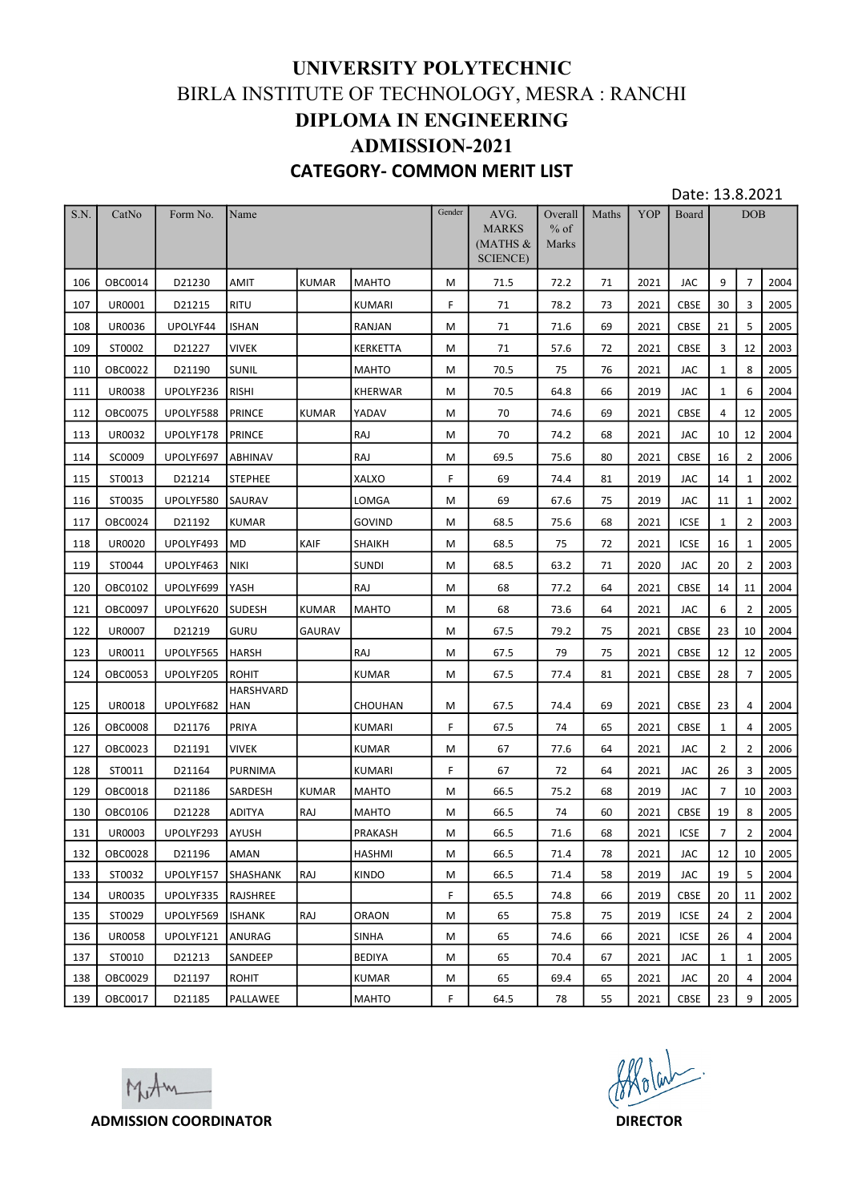| UNIVERSITY POLYTECHNIC<br>BIRLA INSTITUTE OF TECHNOLOGY, MESRA : RANCHI<br><b>DIPLOMA IN ENGINEERING</b><br><b>ADMISSION-2021</b><br><b>CATEGORY- COMMON MERIT LIST</b><br>Date: 13.8.2021<br>$\overline{\text{S.N.}}$<br>Gender<br>CatNo<br>Form No.<br>Name<br>AVG.<br>Maths<br>YOP<br>Board<br><b>DOB</b><br>Overall<br><b>MARKS</b><br>$%$ of<br>$MATHS$ &<br>Marks<br><b>SCIENCE</b> )<br>$\overline{7}$<br>AMIT<br>9<br>2004<br>OBC0014<br>D21230<br><b>KUMAR</b><br>MAHTO<br>M<br>72.2<br>71<br>2021<br>JAC<br>106<br>71.5<br><b>RITU</b><br>30<br>3<br>2005<br>107<br>UR0001<br>D21215<br><b>KUMARI</b><br>F.<br>71<br>78.2<br>73<br>2021<br>CBSE<br>5<br>UPOLYF44<br><b>ISHAN</b><br>21<br>2005<br>108<br><b>UR0036</b><br>RANJAN<br>M<br>71<br>71.6<br>69<br>2021<br>CBSE<br>D21227<br><b>VIVEK</b><br>$\overline{3}$<br>12<br>109<br>ST0002<br>KERKETTA<br>M<br>71<br>57.6<br>72<br>2021<br>CBSE<br>2003<br>8<br>OBC0022<br>D21190<br>SUNIL<br><b>MAHTO</b><br>2005<br>110<br>M<br>70.5<br>75<br>76<br>2021<br>JAC<br>$\mathbf{1}$<br>111<br><b>UR0038</b><br>UPOLYF236<br><b>RISHI</b><br>KHERWAR<br>66<br>6<br>2004<br>M<br>70.5<br>64.8<br>2019<br>JAC<br>1<br>12<br>UPOLYF588<br>PRINCE<br>2005<br>112<br>OBC0075<br><b>KUMAR</b><br><b>YADAV</b><br>M<br>70<br>74.6<br>69<br>CBSE<br>4<br>2021<br>PRINCE<br>RAJ<br>70<br>12<br>2004<br>113<br>UR0032<br>UPOLYF178<br>M<br>74.2<br>68<br>JAC<br>10<br>2021<br>$\overline{2}$<br>114<br>SC0009<br>UPOLYF697<br><b>ABHINAV</b><br>RAJ<br>69.5<br>80<br>2021<br>CBSE<br>16<br>2006<br>M<br>75.6<br>115<br>ST0013<br><b>STEPHEE</b><br><b>XALXO</b><br>F.<br>69<br>81<br>2019<br>JAC<br>14<br>$\mathbf{1}$<br>2002<br>D21214<br>74.4<br>69<br>ST0035<br>UPOLYF580 SAURAV<br>LOMGA<br>67.6<br>75<br>2019<br>JAC<br>$\mathbf{1}$<br>2002<br>116<br>M<br>11<br>$\overline{2}$<br>2003<br>117<br>D21192<br>GOVIND<br>68<br>2021<br>ICSE<br>OBC0024<br>KUMAR<br>M<br>68.5<br>75.6<br>1<br>UPOLYF493 MD<br>KAIF<br>ICSE<br>16<br>2005<br>118<br>UR0020<br>SHAIKH<br>M<br>68.5<br>72<br>2021<br>75<br>1<br><b>NIKI</b><br>SUNDI<br>20<br>$\overline{2}$<br>2003<br>119<br>ST0044<br>UPOLYF463<br>M<br>68.5<br>63.2<br>71<br>2020<br>JAC<br>UPOLYF699<br>YASH<br>68<br>11<br>2004<br>120<br>OBC0102<br> RAJ<br>77.2<br>64<br>2021<br>CBSE<br>14<br>м<br>121<br>OBC0097<br>UPOLYF620<br><b>SUDESH</b><br><b>KUMAR</b><br><b>MAHTO</b><br>68<br>JAC<br>6<br>$\overline{2}$<br>2005<br>M<br>73.6<br>64<br>2021<br>122<br>UR0007<br>D21219<br><b>GURU</b><br>GAURAV<br>CBSE<br>23<br>10<br>2004<br>67.5<br>79.2<br>75<br>2021<br>M<br>UPOLYF565<br>12<br>123<br>UR0011<br><b>HARSH</b><br>RAJ<br>67.5<br>12<br>2005<br>M<br>79<br>75<br>2021<br>CBSE<br>124<br>28<br>$\overline{7}$<br>2005<br><b>OBC0053</b><br>UPOLYF205<br><b>ROHIT</b><br>KUMAR<br>M<br>67.5<br>77.4<br>81<br>2021<br>CBSE<br>HARSHVARD<br>UPOLYF682<br>125<br>UR0018<br><b>HAN</b><br><b>CHOUHAN</b><br>67.5<br>2021<br>CBSE<br>23<br>2004<br>M<br>74.4<br>69<br>4<br>F<br>126<br><b>OBC0008</b><br>D21176<br>PRIYA<br>KUMARI<br>67.5<br>65<br>CBSE<br>2005<br>74<br>2021<br>$\mathbf{1}$<br>4<br>67<br>127<br>OBC0023<br>D21191<br><b>VIVEK</b><br>KUMAR<br>$\overline{2}$<br>$\overline{2}$<br>2006<br>M<br>64<br>2021<br>JAC<br>77.6<br>D21164<br>PURNIMA<br>F.<br>67<br>26<br>3<br>2005<br>128<br>ST0011<br>KUMARI<br>72<br>64<br>2021<br>JAC<br>129<br><b>OBC0018</b><br>D21186<br>SARDESH<br><b>KUMAR</b><br><b>MAHTO</b><br>66.5<br>68<br>JAC<br>$\overline{7}$<br>10<br>2003<br>M<br>75.2<br>2019<br>OBC0106<br>D21228<br>RAJ<br><b>MAHTO</b><br>M<br>60<br>19<br>8<br>2005<br>130<br>ADITYA<br>66.5<br>74<br>2021<br><b>CBSE</b><br>UR0003<br>UPOLYF293<br>PRAKASH<br>$7^{\circ}$<br>$\overline{2}$<br>2004<br>131<br>AYUSH<br>M<br>66.5<br>71.6<br>68<br>2021<br>ICSE<br>132<br><b>OBC0028</b><br>D21196<br>78<br>JAC<br>12<br>10<br>2005<br>AMAN<br><b>HASHMI</b><br>M<br>66.5<br>71.4<br>2021<br>UPOLYF157<br>SHASHANK<br>RAJ<br>KINDO<br>19<br>5<br>2004<br>133<br>ST0032<br>M<br>66.5<br>71.4<br>58<br>2019<br>JAC<br>F.<br>CBSE<br>20<br>2002<br>134<br>UR0035<br>UPOLYF335<br>RAJSHREE<br>65.5<br>74.8<br>66<br>2019<br>11<br>$\overline{2}$<br>2004<br>135<br>ST0029<br>UPOLYF569<br><b>ISHANK</b><br>RAJ<br><b>ORAON</b><br>65<br>ICSE<br>24<br>M<br>75.8<br>75<br>2019<br><b>UR0058</b><br>UPOLYF121<br>ANURAG<br><b>SINHA</b><br>M<br>65<br>ICSE<br>26<br>2004<br>136<br>74.6<br>66<br>2021<br>4<br>D21213<br>2005<br>137<br>ST0010<br>SANDEEP<br><b>BEDIYA</b><br>M<br>65<br>70.4<br>2021<br>JAC<br>$\mathbf{1}$<br>67<br>1<br>D21197<br>2004<br>138<br>OBC0029<br><b>ROHIT</b><br>KUMAR<br>65<br>20<br>M<br>69.4<br>65<br>2021<br>JAC<br>4<br>F<br>CBSE<br>23<br>9<br>2005<br>139<br>OBC0017<br>D21185<br>PALLAWEE<br><b>MAHTO</b><br>64.5<br>78<br>55<br>2021<br>Affoliat.<br>Mother<br><b>ADMISSION COORDINATOR</b><br><b>DIRECTOR</b> |  |  |  |  |  |  |  |  |
|------------------------------------------------------------------------------------------------------------------------------------------------------------------------------------------------------------------------------------------------------------------------------------------------------------------------------------------------------------------------------------------------------------------------------------------------------------------------------------------------------------------------------------------------------------------------------------------------------------------------------------------------------------------------------------------------------------------------------------------------------------------------------------------------------------------------------------------------------------------------------------------------------------------------------------------------------------------------------------------------------------------------------------------------------------------------------------------------------------------------------------------------------------------------------------------------------------------------------------------------------------------------------------------------------------------------------------------------------------------------------------------------------------------------------------------------------------------------------------------------------------------------------------------------------------------------------------------------------------------------------------------------------------------------------------------------------------------------------------------------------------------------------------------------------------------------------------------------------------------------------------------------------------------------------------------------------------------------------------------------------------------------------------------------------------------------------------------------------------------------------------------------------------------------------------------------------------------------------------------------------------------------------------------------------------------------------------------------------------------------------------------------------------------------------------------------------------------------------------------------------------------------------------------------------------------------------------------------------------------------------------------------------------------------------------------------------------------------------------------------------------------------------------------------------------------------------------------------------------------------------------------------------------------------------------------------------------------------------------------------------------------------------------------------------------------------------------------------------------------------------------------------------------------------------------------------------------------------------------------------------------------------------------------------------------------------------------------------------------------------------------------------------------------------------------------------------------------------------------------------------------------------------------------------------------------------------------------------------------------------------------------------------------------------------------------------------------------------------------------------------------------------------------------------------------------------------------------------------------------------------------------------------------------------------------------------------------------------------------------------------------------------------------------------------------------------------------------------------------------------------------------------------------------------------------------------------------------------------------------------------------------------------------------------------------------------------------------------------------------------------------------------------------------------------------------------------------------------------------------------------------------------------------------------------------------------------------------------------------------------------------------------------------------------------------------------------------------------------------------------------------------------------------------------------------------------------------------------------------------------------------|--|--|--|--|--|--|--|--|
|                                                                                                                                                                                                                                                                                                                                                                                                                                                                                                                                                                                                                                                                                                                                                                                                                                                                                                                                                                                                                                                                                                                                                                                                                                                                                                                                                                                                                                                                                                                                                                                                                                                                                                                                                                                                                                                                                                                                                                                                                                                                                                                                                                                                                                                                                                                                                                                                                                                                                                                                                                                                                                                                                                                                                                                                                                                                                                                                                                                                                                                                                                                                                                                                                                                                                                                                                                                                                                                                                                                                                                                                                                                                                                                                                                                                                                                                                                                                                                                                                                                                                                                                                                                                                                                                                                                                                                                                                                                                                                                                                                                                                                                                                                                                                                                                                                                                                    |  |  |  |  |  |  |  |  |
|                                                                                                                                                                                                                                                                                                                                                                                                                                                                                                                                                                                                                                                                                                                                                                                                                                                                                                                                                                                                                                                                                                                                                                                                                                                                                                                                                                                                                                                                                                                                                                                                                                                                                                                                                                                                                                                                                                                                                                                                                                                                                                                                                                                                                                                                                                                                                                                                                                                                                                                                                                                                                                                                                                                                                                                                                                                                                                                                                                                                                                                                                                                                                                                                                                                                                                                                                                                                                                                                                                                                                                                                                                                                                                                                                                                                                                                                                                                                                                                                                                                                                                                                                                                                                                                                                                                                                                                                                                                                                                                                                                                                                                                                                                                                                                                                                                                                                    |  |  |  |  |  |  |  |  |
|                                                                                                                                                                                                                                                                                                                                                                                                                                                                                                                                                                                                                                                                                                                                                                                                                                                                                                                                                                                                                                                                                                                                                                                                                                                                                                                                                                                                                                                                                                                                                                                                                                                                                                                                                                                                                                                                                                                                                                                                                                                                                                                                                                                                                                                                                                                                                                                                                                                                                                                                                                                                                                                                                                                                                                                                                                                                                                                                                                                                                                                                                                                                                                                                                                                                                                                                                                                                                                                                                                                                                                                                                                                                                                                                                                                                                                                                                                                                                                                                                                                                                                                                                                                                                                                                                                                                                                                                                                                                                                                                                                                                                                                                                                                                                                                                                                                                                    |  |  |  |  |  |  |  |  |
|                                                                                                                                                                                                                                                                                                                                                                                                                                                                                                                                                                                                                                                                                                                                                                                                                                                                                                                                                                                                                                                                                                                                                                                                                                                                                                                                                                                                                                                                                                                                                                                                                                                                                                                                                                                                                                                                                                                                                                                                                                                                                                                                                                                                                                                                                                                                                                                                                                                                                                                                                                                                                                                                                                                                                                                                                                                                                                                                                                                                                                                                                                                                                                                                                                                                                                                                                                                                                                                                                                                                                                                                                                                                                                                                                                                                                                                                                                                                                                                                                                                                                                                                                                                                                                                                                                                                                                                                                                                                                                                                                                                                                                                                                                                                                                                                                                                                                    |  |  |  |  |  |  |  |  |
|                                                                                                                                                                                                                                                                                                                                                                                                                                                                                                                                                                                                                                                                                                                                                                                                                                                                                                                                                                                                                                                                                                                                                                                                                                                                                                                                                                                                                                                                                                                                                                                                                                                                                                                                                                                                                                                                                                                                                                                                                                                                                                                                                                                                                                                                                                                                                                                                                                                                                                                                                                                                                                                                                                                                                                                                                                                                                                                                                                                                                                                                                                                                                                                                                                                                                                                                                                                                                                                                                                                                                                                                                                                                                                                                                                                                                                                                                                                                                                                                                                                                                                                                                                                                                                                                                                                                                                                                                                                                                                                                                                                                                                                                                                                                                                                                                                                                                    |  |  |  |  |  |  |  |  |
|                                                                                                                                                                                                                                                                                                                                                                                                                                                                                                                                                                                                                                                                                                                                                                                                                                                                                                                                                                                                                                                                                                                                                                                                                                                                                                                                                                                                                                                                                                                                                                                                                                                                                                                                                                                                                                                                                                                                                                                                                                                                                                                                                                                                                                                                                                                                                                                                                                                                                                                                                                                                                                                                                                                                                                                                                                                                                                                                                                                                                                                                                                                                                                                                                                                                                                                                                                                                                                                                                                                                                                                                                                                                                                                                                                                                                                                                                                                                                                                                                                                                                                                                                                                                                                                                                                                                                                                                                                                                                                                                                                                                                                                                                                                                                                                                                                                                                    |  |  |  |  |  |  |  |  |
|                                                                                                                                                                                                                                                                                                                                                                                                                                                                                                                                                                                                                                                                                                                                                                                                                                                                                                                                                                                                                                                                                                                                                                                                                                                                                                                                                                                                                                                                                                                                                                                                                                                                                                                                                                                                                                                                                                                                                                                                                                                                                                                                                                                                                                                                                                                                                                                                                                                                                                                                                                                                                                                                                                                                                                                                                                                                                                                                                                                                                                                                                                                                                                                                                                                                                                                                                                                                                                                                                                                                                                                                                                                                                                                                                                                                                                                                                                                                                                                                                                                                                                                                                                                                                                                                                                                                                                                                                                                                                                                                                                                                                                                                                                                                                                                                                                                                                    |  |  |  |  |  |  |  |  |
|                                                                                                                                                                                                                                                                                                                                                                                                                                                                                                                                                                                                                                                                                                                                                                                                                                                                                                                                                                                                                                                                                                                                                                                                                                                                                                                                                                                                                                                                                                                                                                                                                                                                                                                                                                                                                                                                                                                                                                                                                                                                                                                                                                                                                                                                                                                                                                                                                                                                                                                                                                                                                                                                                                                                                                                                                                                                                                                                                                                                                                                                                                                                                                                                                                                                                                                                                                                                                                                                                                                                                                                                                                                                                                                                                                                                                                                                                                                                                                                                                                                                                                                                                                                                                                                                                                                                                                                                                                                                                                                                                                                                                                                                                                                                                                                                                                                                                    |  |  |  |  |  |  |  |  |
|                                                                                                                                                                                                                                                                                                                                                                                                                                                                                                                                                                                                                                                                                                                                                                                                                                                                                                                                                                                                                                                                                                                                                                                                                                                                                                                                                                                                                                                                                                                                                                                                                                                                                                                                                                                                                                                                                                                                                                                                                                                                                                                                                                                                                                                                                                                                                                                                                                                                                                                                                                                                                                                                                                                                                                                                                                                                                                                                                                                                                                                                                                                                                                                                                                                                                                                                                                                                                                                                                                                                                                                                                                                                                                                                                                                                                                                                                                                                                                                                                                                                                                                                                                                                                                                                                                                                                                                                                                                                                                                                                                                                                                                                                                                                                                                                                                                                                    |  |  |  |  |  |  |  |  |
|                                                                                                                                                                                                                                                                                                                                                                                                                                                                                                                                                                                                                                                                                                                                                                                                                                                                                                                                                                                                                                                                                                                                                                                                                                                                                                                                                                                                                                                                                                                                                                                                                                                                                                                                                                                                                                                                                                                                                                                                                                                                                                                                                                                                                                                                                                                                                                                                                                                                                                                                                                                                                                                                                                                                                                                                                                                                                                                                                                                                                                                                                                                                                                                                                                                                                                                                                                                                                                                                                                                                                                                                                                                                                                                                                                                                                                                                                                                                                                                                                                                                                                                                                                                                                                                                                                                                                                                                                                                                                                                                                                                                                                                                                                                                                                                                                                                                                    |  |  |  |  |  |  |  |  |
|                                                                                                                                                                                                                                                                                                                                                                                                                                                                                                                                                                                                                                                                                                                                                                                                                                                                                                                                                                                                                                                                                                                                                                                                                                                                                                                                                                                                                                                                                                                                                                                                                                                                                                                                                                                                                                                                                                                                                                                                                                                                                                                                                                                                                                                                                                                                                                                                                                                                                                                                                                                                                                                                                                                                                                                                                                                                                                                                                                                                                                                                                                                                                                                                                                                                                                                                                                                                                                                                                                                                                                                                                                                                                                                                                                                                                                                                                                                                                                                                                                                                                                                                                                                                                                                                                                                                                                                                                                                                                                                                                                                                                                                                                                                                                                                                                                                                                    |  |  |  |  |  |  |  |  |
|                                                                                                                                                                                                                                                                                                                                                                                                                                                                                                                                                                                                                                                                                                                                                                                                                                                                                                                                                                                                                                                                                                                                                                                                                                                                                                                                                                                                                                                                                                                                                                                                                                                                                                                                                                                                                                                                                                                                                                                                                                                                                                                                                                                                                                                                                                                                                                                                                                                                                                                                                                                                                                                                                                                                                                                                                                                                                                                                                                                                                                                                                                                                                                                                                                                                                                                                                                                                                                                                                                                                                                                                                                                                                                                                                                                                                                                                                                                                                                                                                                                                                                                                                                                                                                                                                                                                                                                                                                                                                                                                                                                                                                                                                                                                                                                                                                                                                    |  |  |  |  |  |  |  |  |
|                                                                                                                                                                                                                                                                                                                                                                                                                                                                                                                                                                                                                                                                                                                                                                                                                                                                                                                                                                                                                                                                                                                                                                                                                                                                                                                                                                                                                                                                                                                                                                                                                                                                                                                                                                                                                                                                                                                                                                                                                                                                                                                                                                                                                                                                                                                                                                                                                                                                                                                                                                                                                                                                                                                                                                                                                                                                                                                                                                                                                                                                                                                                                                                                                                                                                                                                                                                                                                                                                                                                                                                                                                                                                                                                                                                                                                                                                                                                                                                                                                                                                                                                                                                                                                                                                                                                                                                                                                                                                                                                                                                                                                                                                                                                                                                                                                                                                    |  |  |  |  |  |  |  |  |
|                                                                                                                                                                                                                                                                                                                                                                                                                                                                                                                                                                                                                                                                                                                                                                                                                                                                                                                                                                                                                                                                                                                                                                                                                                                                                                                                                                                                                                                                                                                                                                                                                                                                                                                                                                                                                                                                                                                                                                                                                                                                                                                                                                                                                                                                                                                                                                                                                                                                                                                                                                                                                                                                                                                                                                                                                                                                                                                                                                                                                                                                                                                                                                                                                                                                                                                                                                                                                                                                                                                                                                                                                                                                                                                                                                                                                                                                                                                                                                                                                                                                                                                                                                                                                                                                                                                                                                                                                                                                                                                                                                                                                                                                                                                                                                                                                                                                                    |  |  |  |  |  |  |  |  |
|                                                                                                                                                                                                                                                                                                                                                                                                                                                                                                                                                                                                                                                                                                                                                                                                                                                                                                                                                                                                                                                                                                                                                                                                                                                                                                                                                                                                                                                                                                                                                                                                                                                                                                                                                                                                                                                                                                                                                                                                                                                                                                                                                                                                                                                                                                                                                                                                                                                                                                                                                                                                                                                                                                                                                                                                                                                                                                                                                                                                                                                                                                                                                                                                                                                                                                                                                                                                                                                                                                                                                                                                                                                                                                                                                                                                                                                                                                                                                                                                                                                                                                                                                                                                                                                                                                                                                                                                                                                                                                                                                                                                                                                                                                                                                                                                                                                                                    |  |  |  |  |  |  |  |  |
|                                                                                                                                                                                                                                                                                                                                                                                                                                                                                                                                                                                                                                                                                                                                                                                                                                                                                                                                                                                                                                                                                                                                                                                                                                                                                                                                                                                                                                                                                                                                                                                                                                                                                                                                                                                                                                                                                                                                                                                                                                                                                                                                                                                                                                                                                                                                                                                                                                                                                                                                                                                                                                                                                                                                                                                                                                                                                                                                                                                                                                                                                                                                                                                                                                                                                                                                                                                                                                                                                                                                                                                                                                                                                                                                                                                                                                                                                                                                                                                                                                                                                                                                                                                                                                                                                                                                                                                                                                                                                                                                                                                                                                                                                                                                                                                                                                                                                    |  |  |  |  |  |  |  |  |
|                                                                                                                                                                                                                                                                                                                                                                                                                                                                                                                                                                                                                                                                                                                                                                                                                                                                                                                                                                                                                                                                                                                                                                                                                                                                                                                                                                                                                                                                                                                                                                                                                                                                                                                                                                                                                                                                                                                                                                                                                                                                                                                                                                                                                                                                                                                                                                                                                                                                                                                                                                                                                                                                                                                                                                                                                                                                                                                                                                                                                                                                                                                                                                                                                                                                                                                                                                                                                                                                                                                                                                                                                                                                                                                                                                                                                                                                                                                                                                                                                                                                                                                                                                                                                                                                                                                                                                                                                                                                                                                                                                                                                                                                                                                                                                                                                                                                                    |  |  |  |  |  |  |  |  |
|                                                                                                                                                                                                                                                                                                                                                                                                                                                                                                                                                                                                                                                                                                                                                                                                                                                                                                                                                                                                                                                                                                                                                                                                                                                                                                                                                                                                                                                                                                                                                                                                                                                                                                                                                                                                                                                                                                                                                                                                                                                                                                                                                                                                                                                                                                                                                                                                                                                                                                                                                                                                                                                                                                                                                                                                                                                                                                                                                                                                                                                                                                                                                                                                                                                                                                                                                                                                                                                                                                                                                                                                                                                                                                                                                                                                                                                                                                                                                                                                                                                                                                                                                                                                                                                                                                                                                                                                                                                                                                                                                                                                                                                                                                                                                                                                                                                                                    |  |  |  |  |  |  |  |  |
|                                                                                                                                                                                                                                                                                                                                                                                                                                                                                                                                                                                                                                                                                                                                                                                                                                                                                                                                                                                                                                                                                                                                                                                                                                                                                                                                                                                                                                                                                                                                                                                                                                                                                                                                                                                                                                                                                                                                                                                                                                                                                                                                                                                                                                                                                                                                                                                                                                                                                                                                                                                                                                                                                                                                                                                                                                                                                                                                                                                                                                                                                                                                                                                                                                                                                                                                                                                                                                                                                                                                                                                                                                                                                                                                                                                                                                                                                                                                                                                                                                                                                                                                                                                                                                                                                                                                                                                                                                                                                                                                                                                                                                                                                                                                                                                                                                                                                    |  |  |  |  |  |  |  |  |
|                                                                                                                                                                                                                                                                                                                                                                                                                                                                                                                                                                                                                                                                                                                                                                                                                                                                                                                                                                                                                                                                                                                                                                                                                                                                                                                                                                                                                                                                                                                                                                                                                                                                                                                                                                                                                                                                                                                                                                                                                                                                                                                                                                                                                                                                                                                                                                                                                                                                                                                                                                                                                                                                                                                                                                                                                                                                                                                                                                                                                                                                                                                                                                                                                                                                                                                                                                                                                                                                                                                                                                                                                                                                                                                                                                                                                                                                                                                                                                                                                                                                                                                                                                                                                                                                                                                                                                                                                                                                                                                                                                                                                                                                                                                                                                                                                                                                                    |  |  |  |  |  |  |  |  |
|                                                                                                                                                                                                                                                                                                                                                                                                                                                                                                                                                                                                                                                                                                                                                                                                                                                                                                                                                                                                                                                                                                                                                                                                                                                                                                                                                                                                                                                                                                                                                                                                                                                                                                                                                                                                                                                                                                                                                                                                                                                                                                                                                                                                                                                                                                                                                                                                                                                                                                                                                                                                                                                                                                                                                                                                                                                                                                                                                                                                                                                                                                                                                                                                                                                                                                                                                                                                                                                                                                                                                                                                                                                                                                                                                                                                                                                                                                                                                                                                                                                                                                                                                                                                                                                                                                                                                                                                                                                                                                                                                                                                                                                                                                                                                                                                                                                                                    |  |  |  |  |  |  |  |  |
|                                                                                                                                                                                                                                                                                                                                                                                                                                                                                                                                                                                                                                                                                                                                                                                                                                                                                                                                                                                                                                                                                                                                                                                                                                                                                                                                                                                                                                                                                                                                                                                                                                                                                                                                                                                                                                                                                                                                                                                                                                                                                                                                                                                                                                                                                                                                                                                                                                                                                                                                                                                                                                                                                                                                                                                                                                                                                                                                                                                                                                                                                                                                                                                                                                                                                                                                                                                                                                                                                                                                                                                                                                                                                                                                                                                                                                                                                                                                                                                                                                                                                                                                                                                                                                                                                                                                                                                                                                                                                                                                                                                                                                                                                                                                                                                                                                                                                    |  |  |  |  |  |  |  |  |
|                                                                                                                                                                                                                                                                                                                                                                                                                                                                                                                                                                                                                                                                                                                                                                                                                                                                                                                                                                                                                                                                                                                                                                                                                                                                                                                                                                                                                                                                                                                                                                                                                                                                                                                                                                                                                                                                                                                                                                                                                                                                                                                                                                                                                                                                                                                                                                                                                                                                                                                                                                                                                                                                                                                                                                                                                                                                                                                                                                                                                                                                                                                                                                                                                                                                                                                                                                                                                                                                                                                                                                                                                                                                                                                                                                                                                                                                                                                                                                                                                                                                                                                                                                                                                                                                                                                                                                                                                                                                                                                                                                                                                                                                                                                                                                                                                                                                                    |  |  |  |  |  |  |  |  |
|                                                                                                                                                                                                                                                                                                                                                                                                                                                                                                                                                                                                                                                                                                                                                                                                                                                                                                                                                                                                                                                                                                                                                                                                                                                                                                                                                                                                                                                                                                                                                                                                                                                                                                                                                                                                                                                                                                                                                                                                                                                                                                                                                                                                                                                                                                                                                                                                                                                                                                                                                                                                                                                                                                                                                                                                                                                                                                                                                                                                                                                                                                                                                                                                                                                                                                                                                                                                                                                                                                                                                                                                                                                                                                                                                                                                                                                                                                                                                                                                                                                                                                                                                                                                                                                                                                                                                                                                                                                                                                                                                                                                                                                                                                                                                                                                                                                                                    |  |  |  |  |  |  |  |  |
|                                                                                                                                                                                                                                                                                                                                                                                                                                                                                                                                                                                                                                                                                                                                                                                                                                                                                                                                                                                                                                                                                                                                                                                                                                                                                                                                                                                                                                                                                                                                                                                                                                                                                                                                                                                                                                                                                                                                                                                                                                                                                                                                                                                                                                                                                                                                                                                                                                                                                                                                                                                                                                                                                                                                                                                                                                                                                                                                                                                                                                                                                                                                                                                                                                                                                                                                                                                                                                                                                                                                                                                                                                                                                                                                                                                                                                                                                                                                                                                                                                                                                                                                                                                                                                                                                                                                                                                                                                                                                                                                                                                                                                                                                                                                                                                                                                                                                    |  |  |  |  |  |  |  |  |
|                                                                                                                                                                                                                                                                                                                                                                                                                                                                                                                                                                                                                                                                                                                                                                                                                                                                                                                                                                                                                                                                                                                                                                                                                                                                                                                                                                                                                                                                                                                                                                                                                                                                                                                                                                                                                                                                                                                                                                                                                                                                                                                                                                                                                                                                                                                                                                                                                                                                                                                                                                                                                                                                                                                                                                                                                                                                                                                                                                                                                                                                                                                                                                                                                                                                                                                                                                                                                                                                                                                                                                                                                                                                                                                                                                                                                                                                                                                                                                                                                                                                                                                                                                                                                                                                                                                                                                                                                                                                                                                                                                                                                                                                                                                                                                                                                                                                                    |  |  |  |  |  |  |  |  |
|                                                                                                                                                                                                                                                                                                                                                                                                                                                                                                                                                                                                                                                                                                                                                                                                                                                                                                                                                                                                                                                                                                                                                                                                                                                                                                                                                                                                                                                                                                                                                                                                                                                                                                                                                                                                                                                                                                                                                                                                                                                                                                                                                                                                                                                                                                                                                                                                                                                                                                                                                                                                                                                                                                                                                                                                                                                                                                                                                                                                                                                                                                                                                                                                                                                                                                                                                                                                                                                                                                                                                                                                                                                                                                                                                                                                                                                                                                                                                                                                                                                                                                                                                                                                                                                                                                                                                                                                                                                                                                                                                                                                                                                                                                                                                                                                                                                                                    |  |  |  |  |  |  |  |  |
|                                                                                                                                                                                                                                                                                                                                                                                                                                                                                                                                                                                                                                                                                                                                                                                                                                                                                                                                                                                                                                                                                                                                                                                                                                                                                                                                                                                                                                                                                                                                                                                                                                                                                                                                                                                                                                                                                                                                                                                                                                                                                                                                                                                                                                                                                                                                                                                                                                                                                                                                                                                                                                                                                                                                                                                                                                                                                                                                                                                                                                                                                                                                                                                                                                                                                                                                                                                                                                                                                                                                                                                                                                                                                                                                                                                                                                                                                                                                                                                                                                                                                                                                                                                                                                                                                                                                                                                                                                                                                                                                                                                                                                                                                                                                                                                                                                                                                    |  |  |  |  |  |  |  |  |
|                                                                                                                                                                                                                                                                                                                                                                                                                                                                                                                                                                                                                                                                                                                                                                                                                                                                                                                                                                                                                                                                                                                                                                                                                                                                                                                                                                                                                                                                                                                                                                                                                                                                                                                                                                                                                                                                                                                                                                                                                                                                                                                                                                                                                                                                                                                                                                                                                                                                                                                                                                                                                                                                                                                                                                                                                                                                                                                                                                                                                                                                                                                                                                                                                                                                                                                                                                                                                                                                                                                                                                                                                                                                                                                                                                                                                                                                                                                                                                                                                                                                                                                                                                                                                                                                                                                                                                                                                                                                                                                                                                                                                                                                                                                                                                                                                                                                                    |  |  |  |  |  |  |  |  |
|                                                                                                                                                                                                                                                                                                                                                                                                                                                                                                                                                                                                                                                                                                                                                                                                                                                                                                                                                                                                                                                                                                                                                                                                                                                                                                                                                                                                                                                                                                                                                                                                                                                                                                                                                                                                                                                                                                                                                                                                                                                                                                                                                                                                                                                                                                                                                                                                                                                                                                                                                                                                                                                                                                                                                                                                                                                                                                                                                                                                                                                                                                                                                                                                                                                                                                                                                                                                                                                                                                                                                                                                                                                                                                                                                                                                                                                                                                                                                                                                                                                                                                                                                                                                                                                                                                                                                                                                                                                                                                                                                                                                                                                                                                                                                                                                                                                                                    |  |  |  |  |  |  |  |  |
|                                                                                                                                                                                                                                                                                                                                                                                                                                                                                                                                                                                                                                                                                                                                                                                                                                                                                                                                                                                                                                                                                                                                                                                                                                                                                                                                                                                                                                                                                                                                                                                                                                                                                                                                                                                                                                                                                                                                                                                                                                                                                                                                                                                                                                                                                                                                                                                                                                                                                                                                                                                                                                                                                                                                                                                                                                                                                                                                                                                                                                                                                                                                                                                                                                                                                                                                                                                                                                                                                                                                                                                                                                                                                                                                                                                                                                                                                                                                                                                                                                                                                                                                                                                                                                                                                                                                                                                                                                                                                                                                                                                                                                                                                                                                                                                                                                                                                    |  |  |  |  |  |  |  |  |
|                                                                                                                                                                                                                                                                                                                                                                                                                                                                                                                                                                                                                                                                                                                                                                                                                                                                                                                                                                                                                                                                                                                                                                                                                                                                                                                                                                                                                                                                                                                                                                                                                                                                                                                                                                                                                                                                                                                                                                                                                                                                                                                                                                                                                                                                                                                                                                                                                                                                                                                                                                                                                                                                                                                                                                                                                                                                                                                                                                                                                                                                                                                                                                                                                                                                                                                                                                                                                                                                                                                                                                                                                                                                                                                                                                                                                                                                                                                                                                                                                                                                                                                                                                                                                                                                                                                                                                                                                                                                                                                                                                                                                                                                                                                                                                                                                                                                                    |  |  |  |  |  |  |  |  |
|                                                                                                                                                                                                                                                                                                                                                                                                                                                                                                                                                                                                                                                                                                                                                                                                                                                                                                                                                                                                                                                                                                                                                                                                                                                                                                                                                                                                                                                                                                                                                                                                                                                                                                                                                                                                                                                                                                                                                                                                                                                                                                                                                                                                                                                                                                                                                                                                                                                                                                                                                                                                                                                                                                                                                                                                                                                                                                                                                                                                                                                                                                                                                                                                                                                                                                                                                                                                                                                                                                                                                                                                                                                                                                                                                                                                                                                                                                                                                                                                                                                                                                                                                                                                                                                                                                                                                                                                                                                                                                                                                                                                                                                                                                                                                                                                                                                                                    |  |  |  |  |  |  |  |  |